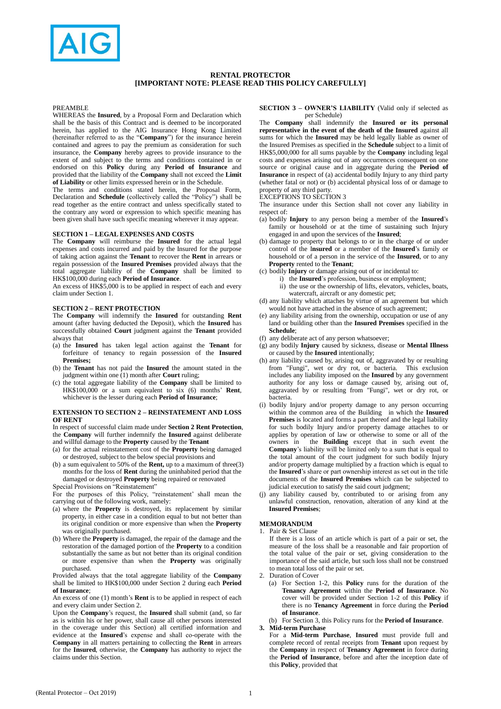

# **RENTAL PROTECTOR [IMPORTANT NOTE: PLEASE READ THIS POLICY CAREFULLY]**

#### PREAMBLE

WHEREAS the **Insured**, by a Proposal Form and Declaration which shall be the basis of this Contract and is deemed to be incorporated herein, has applied to the AIG Insurance Hong Kong Limited (hereinafter referred to as the "**Company**") for the insurance herein contained and agrees to pay the premium as consideration for such insurance, the **Company** hereby agrees to provide insurance to the extent of and subject to the terms and conditions contained in or endorsed on this **Policy** during any **Period of Insurance** and provided that the liability of the **Company** shall not exceed the **Limit of Liability** or other limits expressed herein or in the Schedule.

The terms and conditions stated herein, the Proposal Form, Declaration and **Schedule** (collectively called the "Policy") shall be read together as the entire contract and unless specifically stated to the contrary any word or expression to which specific meaning has been given shall have such specific meaning wherever it may appear.

# **SECTION 1 – LEGAL EXPENSES AND COSTS**

The **Company** will reimburse the **Insured** for the actual legal expenses and costs incurred and paid by the Insured for the purpose of taking action against the **Tenant** to recover the **Rent** in arrears or regain possession of the **Insured Premises** provided always that the total aggregate liability of the **Company** shall be limited to HK\$100,000 during each **Period of Insurance**.

An excess of HK\$5,000 is to be applied in respect of each and every claim under Section 1.

## **SECTION 2 – RENT PROTECTION**

The **Company** will indemnify the **Insured** for outstanding **Rent** amount (after having deducted the Deposit), which the **Insured** has successfully obtained **Court** judgment against the **Tenant** provided always that

- (a) the **Insured** has taken legal action against the **Tenant** for forfeiture of tenancy to regain possession of the **Insured Premises;**
- (b) the **Tenant** has not paid the **Insured** the amount stated in the judgment within one (1) month after **Court** ruling;
- (c) the total aggregate liability of the **Company** shall be limited to HK\$100,000 or a sum equivalent to six (6) months' **Rent**, whichever is the lesser during each **Period of Insurance**;

#### **EXTENSION TO SECTION 2 – REINSTATEMENT AND LOSS OF RENT**

In respect of successful claim made under **Section 2 Rent Protection**, the **Company** will further indemnify the **Insured** against deliberate and willful damage to the **Property** caused by the **Tenant**

- (a) for the actual reinstatement cost of the **Property** being damaged
- or destroyed, subject to the below special provisions and (b) a sum equivalent to 50% of the **Rent,** up to a maximum of three(3)
- months for the loss of **Rent** during the uninhabited period that the damaged or destroyed **Property** being repaired or renovated Special Provisions on "Reinstatement"

For the purposes of this Policy, "reinstatement' shall mean the carrying out of the following work, namely:

- (a) where the **Property** is destroyed, its replacement by similar property, in either case in a condition equal to but not better than its original condition or more expensive than when the **Property** was originally purchased.
- (b) Where the **Property** is damaged, the repair of the damage and the restoration of the damaged portion of the **Property** to a condition substantially the same as but not better than its original condition or more expensive than when the **Property** was originally purchased.

Provided always that the total aggregate liability of the **Company** shall be limited to HK\$100,000 under Section 2 during each **Period of Insurance**;

An excess of one (1) month's **Rent** is to be applied in respect of each and every claim under Section 2.

Upon the **Company**'s request, the **Insured** shall submit (and, so far as is within his or her power, shall cause all other persons interested in the coverage under this Section) all certified information and evidence at the **Insured**'s expense and shall co-operate with the **Company** in all matters pertaining to collecting the **Rent** in arrears for the **Insured**, otherwise, the **Company** has authority to reject the claims under this Section.

## **SECTION 3 – OWNER'S LIABILITY** (Valid only if selected as per Schedule)

The **Company** shall indemnify the **Insured or its personal representative in the event of the death of the Insured** against all sums for which the **Insured** may be held legally liable as owner of the Insured Premises as specified in the **Schedule** subject to a limit of HK\$5,000,000 for all sums payable by the **Company** including legal costs and expenses arising out of any occurrences consequent on one source or original cause and in aggregate during the **Period of Insurance** in respect of (a) accidental bodily Injury to any third party (whether fatal or not) or (b) accidental physical loss of or damage to property of any third party.

EXCEPTIONS TO SECTION 3

The insurance under this Section shall not cover any liability in respect of:

- (a) bodily **Injury** to any person being a member of the **Insured**'s family or household or at the time of sustaining such Injury engaged in and upon the services of the **Insured**;
- (b) damage to property that belongs to or in the charge of or under control of the I**nsured** or a member of the **Insured**'s family or household or of a person in the service of the **Insured**, or to any **Property** rented to the **Tenant**;
- (c) bodily **Injury** or damage arising out of or incidental to:
	- i) the **Insured**'s profession, business or employment; ii) the use or the ownership of lifts, elevators, vehicles, boats,
	- watercraft, aircraft or any domestic pet;
- (d) any liability which attaches by virtue of an agreement but which would not have attached in the absence of such agreement;
- (e) any liability arising from the ownership, occupation or use of any land or building other than the **Insured Premises** specified in the **Schedule**;
- (f) any deliberate act of any person whatsoever;
- (g) any bodily **Injury** caused by sickness, disease or **Mental Illness**  or caused by the **Insured** intentionally;
- (h) any liability caused by, arising out of, aggravated by or resulting from "Fungi", wet or dry rot, or bacteria. This exclusion includes any liability imposed on the **Insured** by any government authority for any loss or damage caused by, arising out of, aggravated by or resulting from "Fungi", wet or dry rot, or bacteria.
- (i) bodily Injury and/or property damage to any person occurring within the common area of the Building in which the **Insured Premises** is located and forms a part thereof and the legal liability for such bodily Injury and/or property damage attaches to or applies by operation of law or otherwise to some or all of the owners in the **Building** except that in such event the **Company**'s liability will be limited only to a sum that is equal to the total amount of the court judgment for such bodily Injury and/or property damage multiplied by a fraction which is equal to the **Insured**'s share or part ownership interest as set out in the title documents of the **Insured Premises** which can be subjected to judicial execution to satisfy the said court judgment;
- (j) any liability caused by, contributed to or arising from any unlawful construction, renovation, alteration of any kind at the **Insured Premises**;

## **MEMORANDUM**

1. Pair & Set Clause

If there is a loss of an article which is part of a pair or set, the measure of the loss shall be a reasonable and fair proportion of the total value of the pair or set, giving consideration to the importance of the said article, but such loss shall not be construed to mean total loss of the pair or set.

2. Duration of Cover

(a) For Section 1-2, this **Policy** runs for the duration of the **Tenancy Agreement** within the **Period of Insurance**. No cover will be provided under Section 1-2 of this **Policy** if there is no **Tenancy Agreement** in force during the **Period of Insurance**.

(b) For Section 3, this Policy runs for the **Period of Insurance**. **3. Mid-term Purchase**

For a **Mid-term Purchase**, **Insured** must provide full and complete record of rental receipts from **Tenant** upon request by the **Company** in respect of **Tenancy Agreement** in force during the **Period of Insurance**, before and after the inception date of this **Policy**, provided that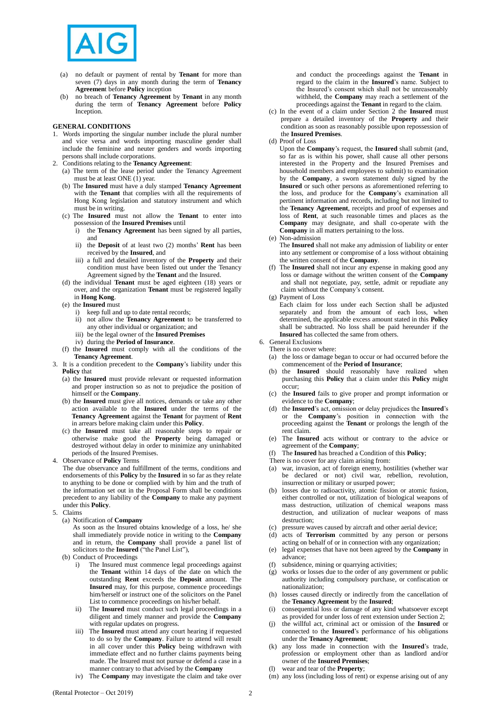

- (a) no default or payment of rental by **Tenant** for more than seven (7) days in any month during the term of **Tenancy Agreemen**t before **Policy** inception
- (b) no breach of **Tenancy Agreement** by **Tenant** in any month during the term of **Tenancy Agreement** before **Policy** Inception.

## **GENERAL CONDITIONS**

- 1. Words importing the singular number include the plural number and vice versa and words importing masculine gender shall include the feminine and neuter genders and words importing persons shall include corporations.
- 2. Conditions relating to the **Tenancy Agreement**:
	- (a) The term of the lease period under the Tenancy Agreement must be at least ONE  $(1)$  year.
	- (b) The **Insured** must have a duly stamped **Tenancy Agreement** with the **Tenant** that complies with all the requirements of Hong Kong legislation and statutory instrument and which must be in writing.
	- (c) The **Insured** must not allow the **Tenant** to enter into possession of the **Insured Premises** until
		- i) the **Tenancy Agreement** has been signed by all parties, and
		- ii) the **Deposit** of at least two (2) months' **Rent** has been received by the **Insured**, and
		- iii) a full and detailed inventory of the **Property** and their condition must have been listed out under the Tenancy Agreement signed by the **Tenant** and the Insured.
	- (d) the individual **Tenant** must be aged eighteen (18) years or over, and the organization **Tenant** must be registered legally in **Hong Kong**.
	- (e) the **Insured** must
		- i) keep full and up to date rental records;
		- ii) not allow the **Tenancy Agreement** to be transferred to any other individual or organization; and
		- iii) be the legal owner of the **Insured Premises**
		- iv) during the **Period of Insurance**.
	- (f) the **Insured** must comply with all the conditions of the **Tenancy Agreement**.
- 3. It is a condition precedent to the **Company**'s liability under this **Policy** that
	- (a) the **Insured** must provide relevant or requested information and proper instruction so as not to prejudice the position of himself or the **Company**.
	- (b) the **Insured** must give all notices, demands or take any other action available to the **Insured** under the terms of the **Tenancy Agreement** against the **Tenant** for payment of **Rent** in arrears before making claim under this **Policy**.
	- (c) the **Insured** must take all reasonable steps to repair or otherwise make good the **Property** being damaged or destroyed without delay in order to minimize any uninhabited periods of the Insured Premises.

4. Observance of **Policy** Terms

- The due observance and fulfillment of the terms, conditions and endorsements of this **Policy** by the **Insured** in so far as they relate to anything to be done or complied with by him and the truth of the information set out in the Proposal Form shall be conditions precedent to any liability of the **Company** to make any payment under this **Policy**.
- 5. Claims
	- (a) Notification of **Company**
		- As soon as the Insured obtains knowledge of a loss, he/ she shall immediately provide notice in writing to the **Company** and in return, the **Company** shall provide a panel list of solicitors to the **Insured** ("the Panel List"),
	- (b) Conduct of Proceedings
		- i) The Insured must commence legal proceedings against the **Tenant** within 14 days of the date on which the outstanding **Rent** exceeds the **Deposit** amount. The **Insured** may, for this purpose, commence proceedings him/herself or instruct one of the solicitors on the Panel List to commence proceedings on his/her behalf.
		- ii) The **Insured** must conduct such legal proceedings in a diligent and timely manner and provide the **Company** with regular updates on progress.
		- iii) The **Insured** must attend any court hearing if requested to do so by the **Company**. Failure to attend will result in all cover under this **Policy** being withdrawn with immediate effect and no further claims payments being made. The Insured must not pursue or defend a case in a manner contrary to that advised by the **Company**
		- iv) The **Company** may investigate the claim and take over

and conduct the proceedings against the **Tenant** in regard to the claim in the **Insured**'s name. Subject to the Insured's consent which shall not be unreasonably withheld, the **Company** may reach a settlement of the proceedings against the **Tenant** in regard to the claim.

- (c) In the event of a claim under Section 2 the **Insured** must prepare a detailed inventory of the **Property** and their condition as soon as reasonably possible upon repossession of the **Insured Premises**.
- (d) Proof of Loss
	- Upon the **Company**'s request, the **Insured** shall submit (and, so far as is within his power, shall cause all other persons interested in the Property and the Insured Premises and household members and employees to submit) to examination by the **Company**, a sworn statement duly signed by the **Insured** or such other persons as aforementioned referring to the loss, and produce for the **Company**'s examination all pertinent information and records, including but not limited to the **Tenancy Agreement**, receipts and proof of expenses and loss of **Rent**, at such reasonable times and places as the **Company** may designate, and shall co-operate with the **Company** in all matters pertaining to the loss.

(e) Non-admission

The **Insured** shall not make any admission of liability or enter into any settlement or compromise of a loss without obtaining the written consent of the **Company**.

- (f) The **Insured** shall not incur any expense in making good any loss or damage without the written consent of the **Company** and shall not negotiate, pay, settle, admit or repudiate any claim without the Company's consent.
- (g) Payment of Loss

Each claim for loss under each Section shall be adjusted separately and from the amount of each loss, when determined, the applicable excess amount stated in this **Policy** shall be subtracted. No loss shall be paid hereunder if the **Insured** has collected the same from others.

- 6. General Exclusions
	- There is no cover where:
	- (a) the loss or damage began to occur or had occurred before the commencement of the **Period of Insurance**;
	- (b) the **Insured** should reasonably have realized when purchasing this **Policy** that a claim under this **Policy** might occur;
	- (c) the **Insured** fails to give proper and prompt information or evidence to the **Company**;
	- (d) the **Insured**'s act, omission or delay prejudices the **Insured**'s or the **Company**'s position in connection with the proceeding against the **Tenant** or prolongs the length of the rent claim.
	- (e) The **Insured** acts without or contrary to the advice or agreement of the **Company**;
	- (f) The **Insured** has breached a Condition of this **Policy**;
	- There is no cover for any claim arising from:
	- (a) war, invasion, act of foreign enemy, hostilities (whether war be declared or not) civil war, rebellion, revolution, insurrection or military or usurped power;
	- (b) losses due to radioactivity, atomic fission or atomic fusion, either controlled or not, utilization of biological weapons of mass destruction, utilization of chemical weapons mass destruction, and utilization of nuclear weapons of mass destruction:
	- (c) pressure waves caused by aircraft and other aerial device;
	- (d) acts of **Terrorism** committed by any person or persons acting on behalf of or in connection with any organization;
	- (e) legal expenses that have not been agreed by the **Company** in advance;
	- (f) subsidence, mining or quarrying activities;
	- (g) works or losses due to the order of any government or public authority including compulsory purchase, or confiscation or nationalization;
	- (h) losses caused directly or indirectly from the cancellation of the **Tenancy Agreement** by the **Insured**;
	- consequential loss or damage of any kind whatsoever except as provided for under loss of rent extension under Section 2;
	- (j) the willful act, criminal act or omission of the **Insured** or connected to the **Insured**'s performance of his obligations under the **Tenancy Agreement**;
	- (k) any loss made in connection with the **Insured**'s trade, profession or employment other than as landlord and/or owner of the **Insured Premises**;
	- (l) wear and tear of the **Property**;
	- (m) any loss (including loss of rent) or expense arising out of any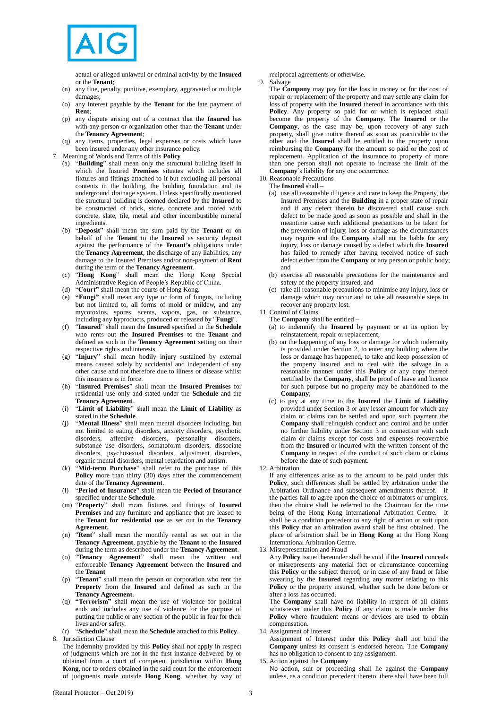

actual or alleged unlawful or criminal activity by the **Insured** or the **Tenant**;

- (n) any fine, penalty, punitive, exemplary, aggravated or multiple damages;
- (o) any interest payable by the **Tenant** for the late payment of **Rent**;
- (p) any dispute arising out of a contract that the **Insured** has with any person or organization other than the **Tenant** under the **Tenancy Agreement**;
- (q) any items, properties, legal expenses or costs which have been insured under any other insurance policy.
- 7. Meaning of Words and Terms of this **Policy**
	- (a) "**Building**" shall mean only the structural building itself in which the Insured **Premises** situates which includes all fixtures and fittings attached to it but excluding all personal contents in the building, the building foundation and its underground drainage system. Unless specifically mentioned the structural building is deemed declared by the **Insured** to be constructed of brick, stone, concrete and roofed with concrete, slate, tile, metal and other incombustible mineral ingredients.
	- (b) "**Deposit**" shall mean the sum paid by the **Tenant** or on behalf of the **Tenant** to the **Insured** as security deposit against the performance of the **Tenant's** obligations under the **Tenancy Agreement**, the discharge of any liabilities, any damage to the Insured Premises and/or non-payment of **Rent** during the term of the **Tenancy Agreement**.
	- (c) "**Hong Kong**" shall mean the Hong Kong Special Administrative Region of People's Republic of China.
	- (d) "**Court"** shall mean the courts of Hong Kong.
	- "Fungi" shall mean any type or form of fungus, including but not limited to, all forms of mold or mildew, and any mycotoxins, spores, scents, vapors, gas, or substance, including any byproducts, produced or released by "**Fungi**".
	- (f) "**Insured**" shall mean the **Insured** specified in the **Schedule** who rents out the **Insured Premises** to the **Tenant** and defined as such in the **Tenancy Agreement** setting out their respective rights and interests.
	- (g) "**Injury**" shall mean bodily injury sustained by external means caused solely by accidental and independent of any other cause and not therefore due to illness or disease whilst this insurance is in force.
	- (h) "**Insured Premises**" shall mean the **Insured Premises** for residential use only and stated under the **Schedule** and the **Tenancy Agreement**.
	- (i) "**Limit of Liability**" shall mean the **Limit of Liability** as stated in the **Schedule**.
	- (j) "**Mental Illness**" shall mean mental disorders including, but not limited to eating disorders, anxiety disorders, psychotic disorders, affective disorders, personality disorders, substance use disorders, somatoform disorders, dissociate disorders, psychosexual disorders, adjustment disorders, organic mental disorders, mental retardation and autism.
	- (k) "**Mid-term Purchase**" shall refer to the purchase of this **Policy** more than thirty (30) days after the commencement date of the **Tenancy Agreement**.
	- (l) "**Period of Insurance**" shall mean the **Period of Insurance** specified under the **Schedule**.
	- (m) "**Property**" shall mean fixtures and fittings of **Insured Premises** and any furniture and appliance that are leased to the **Tenant for residential use** as set out in the **Tenancy Agreement.**
	- (n) "**Rent**" shall mean the monthly rental as set out in the **Tenancy Agreement**, payable by the **Tenant** to the **Insured** during the term as described under the **Tenancy Agreement**.
	- "Tenancy Agreement" shall mean the written and enforceable **Tenancy Agreement** between the **Insured** and the **Tenant**
	- (p) "**Tenant**" shall mean the person or corporation who rent the **Property** from the **Insured** and defined as such in the **Tenancy Agreement**.
	- (q) **"Terrorism"** shall mean the use of violence for political ends and includes any use of violence for the purpose of putting the public or any section of the public in fear for their lives and/or safety.
	- (r) "**Schedule**" shall mean the **Schedule** attached to this **Policy**.
- 8. Jurisdiction Clause The indemnity provided by this **Policy** shall not apply in respect of judgments which are not in the first instance delivered by or obtained from a court of competent jurisdiction within **Hong Kong**, nor to orders obtained in the said court for the enforcement of judgments made outside **Hong Kong**, whether by way of

reciprocal agreements or otherwise. 9. Salvage

The **Company** may pay for the loss in money or for the cost of repair or replacement of the property and may settle any claim for loss of property with the **Insured** thereof in accordance with this **Policy**. Any property so paid for or which is replaced shall become the property of the **Company**. The **Insured** or the **Company**, as the case may be, upon recovery of any such property, shall give notice thereof as soon as practicable to the other and the **Insured** shall be entitled to the property upon reimbursing the **Company** for the amount so paid or the cost of replacement. Application of the insurance to property of more than one person shall not operate to increase the limit of the **Company**'s liability for any one occurrence.

- 10. Reasonable Precautions The **Insured** shall –
	- (a) use all reasonable diligence and care to keep the Property, the Insured Premises and the **Building** in a proper state of repair and if any defect therein be discovered shall cause such defect to be made good as soon as possible and shall in the meantime cause such additional precautions to be taken for the prevention of injury, loss or damage as the circumstances may require and the **Company** shall not be liable for any injury, loss or damage caused by a defect which the **Insured** has failed to remedy after having received notice of such defect either from the **Company** or any person or public body; and
	- (b) exercise all reasonable precautions for the maintenance and safety of the property insured; and
	- take all reasonable precautions to minimise any injury, loss or damage which may occur and to take all reasonable steps to recover any property lost.
- 11. Control of Claims
	- The **Company** shall be entitled –
	- (a) to indemnify the **Insured** by payment or at its option by reinstatement, repair or replacement;
	- (b) on the happening of any loss or damage for which indemnity is provided under Section 2, to enter any building where the loss or damage has happened, to take and keep possession of the property insured and to deal with the salvage in a reasonable manner under this **Policy** or any copy thereof certified by the **Company**, shall be proof of leave and licence for such purpose but no property may be abandoned to the **Company**;
	- (c) to pay at any time to the **Insured** the **Limit of Liability** provided under Section 3 or any lesser amount for which any claim or claims can be settled and upon such payment the **Company** shall relinquish conduct and control and be under no further liability under Section 3 in connection with such claim or claims except for costs and expenses recoverable from the **Insured** or incurred with the written consent of the **Company** in respect of the conduct of such claim or claims before the date of such payment.
- 12. Arbitration

If any differences arise as to the amount to be paid under this **Policy**, such differences shall be settled by arbitration under the Arbitration Ordinance and subsequent amendments thereof. If the parties fail to agree upon the choice of arbitrators or umpires, then the choice shall be referred to the Chairman for the time being of the Hong Kong International Arbitration Centre. It shall be a condition precedent to any right of action or suit upon this **Policy** that an arbitration award shall be first obtained. The place of arbitration shall be in **Hong Kong** at the Hong Kong International Arbitration Centre.

13. Misrepresentation and Fraud

Any **Policy** issued hereunder shall be void if the **Insured** conceals or misrepresents any material fact or circumstance concerning this **Policy** or the subject thereof; or in case of any fraud or false swearing by the **Insured** regarding any matter relating to this **Policy** or the property insured, whether such be done before or after a loss has occurred.

The **Company** shall have no liability in respect of all claims whatsoever under this **Policy** if any claim is made under this **Policy** where fraudulent means or devices are used to obtain compensation.

14. Assignment of Interest

Assignment of Interest under this **Policy** shall not bind the **Company** unless its consent is endorsed hereon. The **Company** has no obligation to consent to any assignment.

15. Action against the **Company**

No action, suit or proceeding shall lie against the **Company** unless, as a condition precedent thereto, there shall have been full